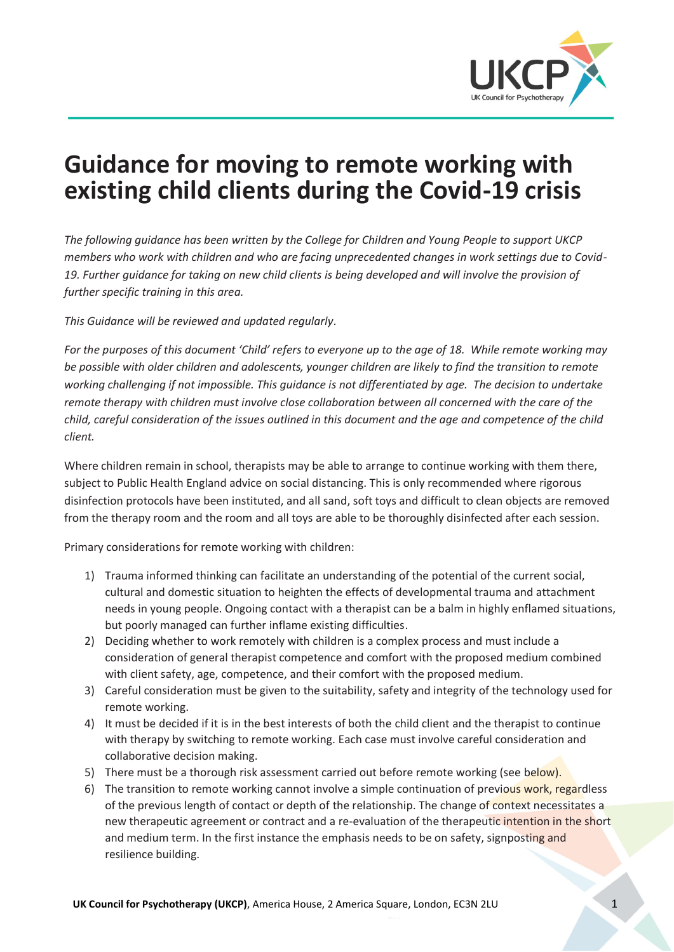

# **Guidance for moving to remote working with existing child clients during the Covid-19 crisis**

*The following guidance has been written by the College for Children and Young People to support UKCP members who work with children and who are facing unprecedented changes in work settings due to Covid-*19. Further guidance for taking on new child clients is being developed and will involve the provision of *further specific training in this area.* 

*This Guidance will be reviewed and updated regularly.*

*For the purposes of this document 'Child' refers to everyone up to the age of 18. While remote working may be possible with older children and adolescents, younger children are likely to find the transition to remote working challenging if not impossible. This guidance is not differentiated by age. The decision to undertake remote therapy with children must involve close collaboration between all concerned with the care of the child, careful consideration of the issues outlined in this document and the age and competence of the child client.* 

Where children remain in school, therapists may be able to arrange to continue working with them there, subject to Public Health England advice on social distancing. This is only recommended where rigorous disinfection protocols have been instituted, and all sand, soft toys and difficult to clean objects are removed from the therapy room and the room and all toys are able to be thoroughly disinfected after each session.

Primary considerations for remote working with children:

- 1) Trauma informed thinking can facilitate an understanding of the potential of the current social, cultural and domestic situation to heighten the effects of developmental trauma and attachment needs in young people. Ongoing contact with a therapist can be a balm in highly enflamed situations, but poorly managed can further inflame existing difficulties.
- 2) Deciding whether to work remotely with children is a complex process and must include a consideration of general therapist competence and comfort with the proposed medium combined with client safety, age, competence, and their comfort with the proposed medium.
- 3) Careful consideration must be given to the suitability, safety and integrity of the technology used for remote working.
- 4) It must be decided if it is in the best interests of both the child client and the therapist to continue with therapy by switching to remote working. Each case must involve careful consideration and collaborative decision making.
- 5) There must be a thorough risk assessment carried out before remote working (see below).
- 6) The transition to remote working cannot involve a simple continuation of previous work, regardless of the previous length of contact or depth of the relationship. The change of context necessitates a new therapeutic agreement or contract and a re-evaluation of the therapeutic intention in the short and medium term. In the first instance the emphasis needs to be on safety, signposting and resilience building.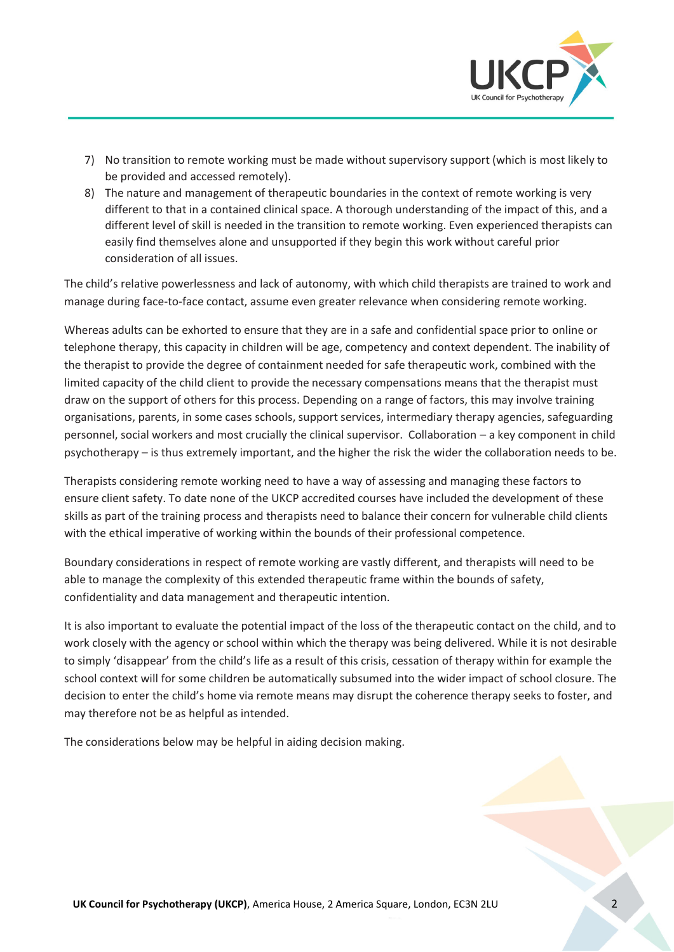

- 7) No transition to remote working must be made without supervisory support (which is most likely to be provided and accessed remotely).
- 8) The nature and management of therapeutic boundaries in the context of remote working is very different to that in a contained clinical space. A thorough understanding of the impact of this, and a different level of skill is needed in the transition to remote working. Even experienced therapists can easily find themselves alone and unsupported if they begin this work without careful prior consideration of all issues.

The child's relative powerlessness and lack of autonomy, with which child therapists are trained to work and manage during face-to-face contact, assume even greater relevance when considering remote working.

Whereas adults can be exhorted to ensure that they are in a safe and confidential space prior to online or telephone therapy, this capacity in children will be age, competency and context dependent. The inability of the therapist to provide the degree of containment needed for safe therapeutic work, combined with the limited capacity of the child client to provide the necessary compensations means that the therapist must draw on the support of others for this process. Depending on a range of factors, this may involve training organisations, parents, in some cases schools, support services, intermediary therapy agencies, safeguarding personnel, social workers and most crucially the clinical supervisor. Collaboration - a key component in child psychotherapy – is thus extremely important, and the higher the risk the wider the collaboration needs to be.

Therapists considering remote working need to have a way of assessing and managing these factors to ensure client safety. To date none of the UKCP accredited courses have included the development of these skills as part of the training process and therapists need to balance their concern for vulnerable child clients with the ethical imperative of working within the bounds of their professional competence.

Boundary considerations in respect of remote working are vastly different, and therapists will need to be able to manage the complexity of this extended therapeutic frame within the bounds of safety, confidentiality and data management and therapeutic intention.

It is also important to evaluate the potential impact of the loss of the therapeutic contact on the child, and to work closely with the agency or school within which the therapy was being delivered. While it is not desirable to simply 'disappear' from the child's life as a result of this crisis, cessation of therapy within for example the school context will for some children be automatically subsumed into the wider impact of school closure. The decision to enter the child's home via remote means may disrupt the coherence therapy seeks to foster, and may therefore not be as helpful as intended.

The considerations below may be helpful in aiding decision making.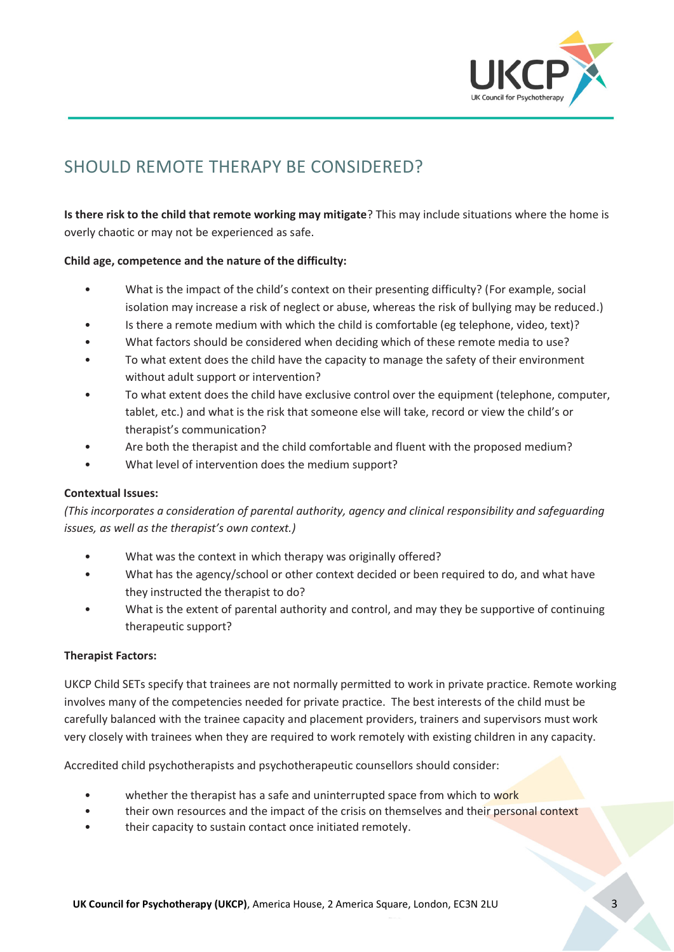

## SHOULD REMOTE THERAPY BE CONSIDERED?

**Is there risk to the child that remote working may mitigate**? This may include situations where the home is overly chaotic or may not be experienced as safe.

#### **Child age, competence and the nature of the difficulty:**

- What is the impact of the child's context on their presenting difficulty? (For example, social isolation may increase a risk of neglect or abuse, whereas the risk of bullying may be reduced.)
- Is there a remote medium with which the child is comfortable (eg telephone, video, text)?
- What factors should be considered when deciding which of these remote media to use?
- To what extent does the child have the capacity to manage the safety of their environment without adult support or intervention?
- To what extent does the child have exclusive control over the equipment (telephone, computer, tablet, etc.) and what is the risk that someone else will take, record or view the child's or therapist's communication?
- Are both the therapist and the child comfortable and fluent with the proposed medium?
- What level of intervention does the medium support?

#### **Contextual Issues:**

*(This incorporates a consideration of parental authority, agency and clinical responsibility and safeguarding issues, as well as the therapist's own context.)*

- What was the context in which therapy was originally offered?
- What has the agency/school or other context decided or been required to do, and what have they instructed the therapist to do?
- What is the extent of parental authority and control, and may they be supportive of continuing therapeutic support?

#### **Therapist Factors:**

UKCP Child SETs specify that trainees are not normally permitted to work in private practice. Remote working involves many of the competencies needed for private practice. The best interests of the child must be carefully balanced with the trainee capacity and placement providers, trainers and supervisors must work very closely with trainees when they are required to work remotely with existing children in any capacity.

Accredited child psychotherapists and psychotherapeutic counsellors should consider:

- whether the therapist has a safe and uninterrupted space from which to work
- their own resources and the impact of the crisis on themselves and their personal context
- their capacity to sustain contact once initiated remotely.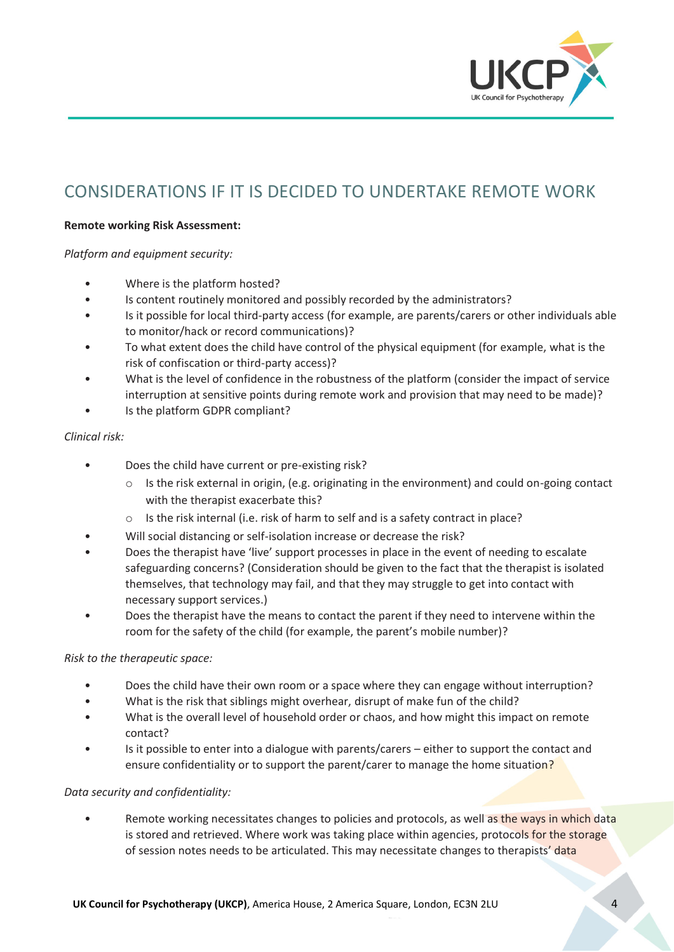

### CONSIDERATIONS IF IT IS DECIDED TO UNDERTAKE REMOTE WORK

#### **Remote working Risk Assessment:**

*Platform and equipment security:*

- Where is the platform hosted?
- Is content routinely monitored and possibly recorded by the administrators?
- Is it possible for local third-party access (for example, are parents/carers or other individuals able to monitor/hack or record communications)?
- To what extent does the child have control of the physical equipment (for example, what is the risk of confiscation or third-party access)?
- What is the level of confidence in the robustness of the platform (consider the impact of service interruption at sensitive points during remote work and provision that may need to be made)?
- Is the platform GDPR compliant?

#### *Clinical risk:*

- Does the child have current or pre-existing risk?
	- o Is the risk external in origin, (e.g. originating in the environment) and could on-going contact with the therapist exacerbate this?
	- o Is the risk internal (i.e. risk of harm to self and is a safety contract in place?
- Will social distancing or self-isolation increase or decrease the risk?
- Does the therapist have 'live' support processes in place in the event of needing to escalate safeguarding concerns? (Consideration should be given to the fact that the therapist is isolated themselves, that technology may fail, and that they may struggle to get into contact with necessary support services.)
- Does the therapist have the means to contact the parent if they need to intervene within the room for the safety of the child (for example, the parent's mobile number)?

#### *Risk to the therapeutic space:*

- Does the child have their own room or a space where they can engage without interruption?
- What is the risk that siblings might overhear, disrupt of make fun of the child?
- What is the overall level of household order or chaos, and how might this impact on remote contact?
- Is it possible to enter into a dialogue with parents/carers either to support the contact and ensure confidentiality or to support the parent/carer to manage the home situation?

#### *Data security and confidentiality:*

Remote working necessitates changes to policies and protocols, as well as the ways in which data is stored and retrieved. Where work was taking place within agencies, protocols for the storage of session notes needs to be articulated. This may necessitate changes to therapists' data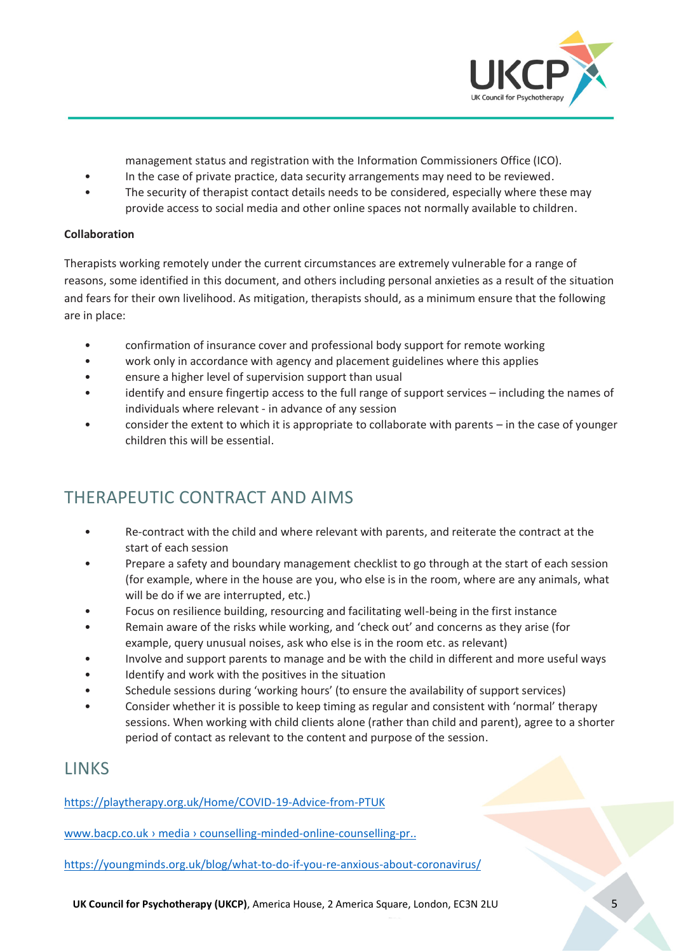

management status and registration with the Information Commissioners Office (ICO).

- In the case of private practice, data security arrangements may need to be reviewed.
- The security of therapist contact details needs to be considered, especially where these may provide access to social media and other online spaces not normally available to children.

#### **Collaboration**

Therapists working remotely under the current circumstances are extremely vulnerable for a range of reasons, some identified in this document, and others including personal anxieties as a result of the situation and fears for their own livelihood. As mitigation, therapists should, as a minimum ensure that the following are in place:

- confirmation of insurance cover and professional body support for remote working
- work only in accordance with agency and placement guidelines where this applies
- ensure a higher level of supervision support than usual
- identify and ensure fingertip access to the full range of support services including the names of individuals where relevant - in advance of any session
- consider the extent to which it is appropriate to collaborate with parents in the case of younger children this will be essential.

### THERAPEUTIC CONTRACT AND AIMS

- Re-contract with the child and where relevant with parents, and reiterate the contract at the start of each session
- Prepare a safety and boundary management checklist to go through at the start of each session (for example, where in the house are you, who else is in the room, where are any animals, what will be do if we are interrupted, etc.)
- Focus on resilience building, resourcing and facilitating well-being in the first instance
- Remain aware of the risks while working, and 'check out' and concerns as they arise (for example, query unusual noises, ask who else is in the room etc. as relevant)
- Involve and support parents to manage and be with the child in different and more useful ways
- Identify and work with the positives in the situation
- Schedule sessions during 'working hours' (to ensure the availability of support services)
- Consider whether it is possible to keep timing as regular and consistent with 'normal' therapy sessions. When working with child clients alone (rather than child and parent), agree to a shorter period of contact as relevant to the content and purpose of the session.

### LINKS

https://playtherapy.org.uk/Home/COVID-19-Advice-from-PTUK

www.bacp.co.uk > media > counselling-minded-online-counselling-pr..

https://youngminds.org.uk/blog/what-to-do-if-you-re-anxious-about-coronavirus/

**UK Council for Psychotherapy (UKCP)**, America House, 2 America Square, London, EC3N 2LU 5